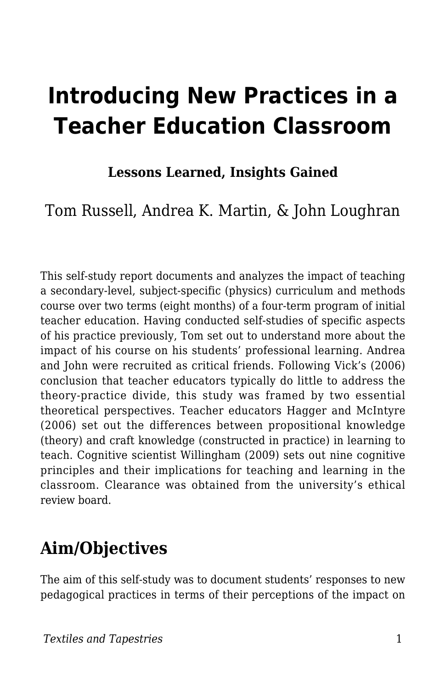# **Introducing New Practices in a Teacher Education Classroom**

### **Lessons Learned, Insights Gained**

Tom Russell, Andrea K. Martin, & John Loughran

This self-study report documents and analyzes the impact of teaching a secondary-level, subject-specific (physics) curriculum and methods course over two terms (eight months) of a four-term program of initial teacher education. Having conducted self-studies of specific aspects of his practice previously, Tom set out to understand more about the impact of his course on his students' professional learning. Andrea and John were recruited as critical friends. Following Vick's (2006) conclusion that teacher educators typically do little to address the theory-practice divide, this study was framed by two essential theoretical perspectives. Teacher educators Hagger and McIntyre (2006) set out the differences between propositional knowledge (theory) and craft knowledge (constructed in practice) in learning to teach. Cognitive scientist Willingham (2009) sets out nine cognitive principles and their implications for teaching and learning in the classroom. Clearance was obtained from the university's ethical review board.

# **Aim/Objectives**

The aim of this self-study was to document students' responses to new pedagogical practices in terms of their perceptions of the impact on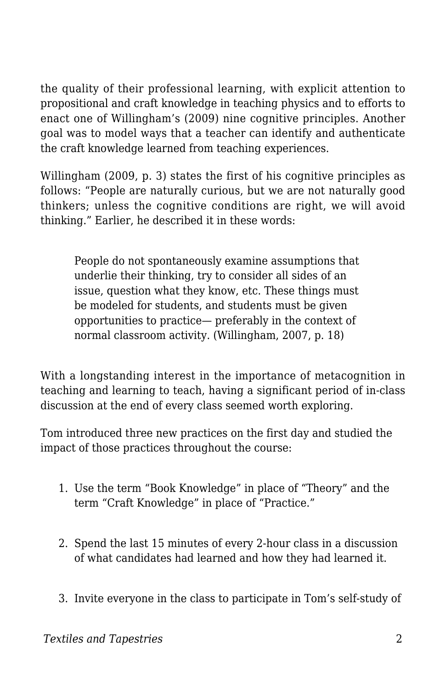the quality of their professional learning, with explicit attention to propositional and craft knowledge in teaching physics and to efforts to enact one of Willingham's (2009) nine cognitive principles. Another goal was to model ways that a teacher can identify and authenticate the craft knowledge learned from teaching experiences.

Willingham (2009, p. 3) states the first of his cognitive principles as follows: "People are naturally curious, but we are not naturally good thinkers; unless the cognitive conditions are right, we will avoid thinking." Earlier, he described it in these words:

People do not spontaneously examine assumptions that underlie their thinking, try to consider all sides of an issue, question what they know, etc. These things must be modeled for students, and students must be given opportunities to practice— preferably in the context of normal classroom activity. (Willingham, 2007, p. 18)

With a longstanding interest in the importance of metacognition in teaching and learning to teach, having a significant period of in-class discussion at the end of every class seemed worth exploring.

Tom introduced three new practices on the first day and studied the impact of those practices throughout the course:

- 1. Use the term "Book Knowledge" in place of "Theory" and the term "Craft Knowledge" in place of "Practice."
- 2. Spend the last 15 minutes of every 2-hour class in a discussion of what candidates had learned and how they had learned it.
- 3. Invite everyone in the class to participate in Tom's self-study of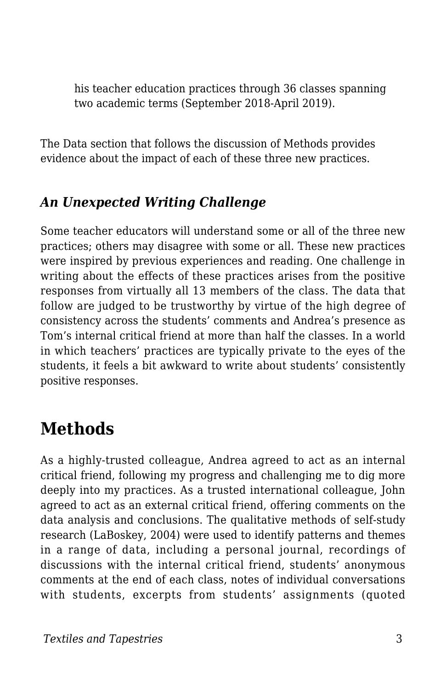his teacher education practices through 36 classes spanning two academic terms (September 2018-April 2019).

The Data section that follows the discussion of Methods provides evidence about the impact of each of these three new practices.

### *An Unexpected Writing Challenge*

Some teacher educators will understand some or all of the three new practices; others may disagree with some or all. These new practices were inspired by previous experiences and reading. One challenge in writing about the effects of these practices arises from the positive responses from virtually all 13 members of the class. The data that follow are judged to be trustworthy by virtue of the high degree of consistency across the students' comments and Andrea's presence as Tom's internal critical friend at more than half the classes. In a world in which teachers' practices are typically private to the eyes of the students, it feels a bit awkward to write about students' consistently positive responses.

# **Methods**

As a highly-trusted colleague, Andrea agreed to act as an internal critical friend, following my progress and challenging me to dig more deeply into my practices. As a trusted international colleague, John agreed to act as an external critical friend, offering comments on the data analysis and conclusions. The qualitative methods of self-study research (LaBoskey, 2004) were used to identify patterns and themes in a range of data, including a personal journal, recordings of discussions with the internal critical friend, students' anonymous comments at the end of each class, notes of individual conversations with students, excerpts from students' assignments (quoted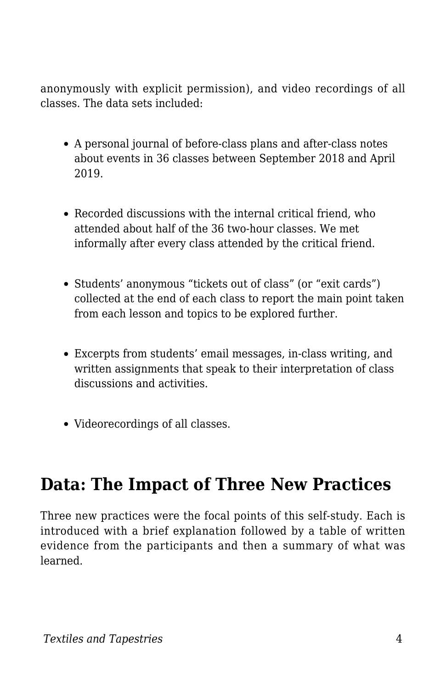anonymously with explicit permission), and video recordings of all classes. The data sets included:

- A personal journal of before-class plans and after-class notes about events in 36 classes between September 2018 and April 2019.
- Recorded discussions with the internal critical friend, who attended about half of the 36 two-hour classes. We met informally after every class attended by the critical friend.
- Students' anonymous "tickets out of class" (or "exit cards") collected at the end of each class to report the main point taken from each lesson and topics to be explored further.
- Excerpts from students' email messages, in-class writing, and written assignments that speak to their interpretation of class discussions and activities.
- Videorecordings of all classes.

# **Data: The Impact of Three New Practices**

Three new practices were the focal points of this self-study. Each is introduced with a brief explanation followed by a table of written evidence from the participants and then a summary of what was learned.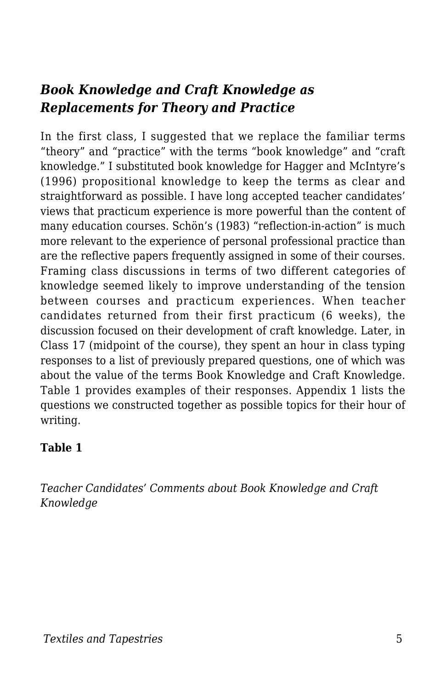### *Book Knowledge and Craft Knowledge as Replacements for Theory and Practice*

In the first class, I suggested that we replace the familiar terms "theory" and "practice" with the terms "book knowledge" and "craft knowledge." I substituted book knowledge for Hagger and McIntyre's (1996) propositional knowledge to keep the terms as clear and straightforward as possible. I have long accepted teacher candidates' views that practicum experience is more powerful than the content of many education courses. Schön's (1983) "reflection-in-action" is much more relevant to the experience of personal professional practice than are the reflective papers frequently assigned in some of their courses. Framing class discussions in terms of two different categories of knowledge seemed likely to improve understanding of the tension between courses and practicum experiences. When teacher candidates returned from their first practicum (6 weeks), the discussion focused on their development of craft knowledge. Later, in Class 17 (midpoint of the course), they spent an hour in class typing responses to a list of previously prepared questions, one of which was about the value of the terms Book Knowledge and Craft Knowledge. Table 1 provides examples of their responses. Appendix 1 lists the questions we constructed together as possible topics for their hour of writing.

#### **Table 1**

*Teacher Candidates' Comments about Book Knowledge and Craft Knowledge*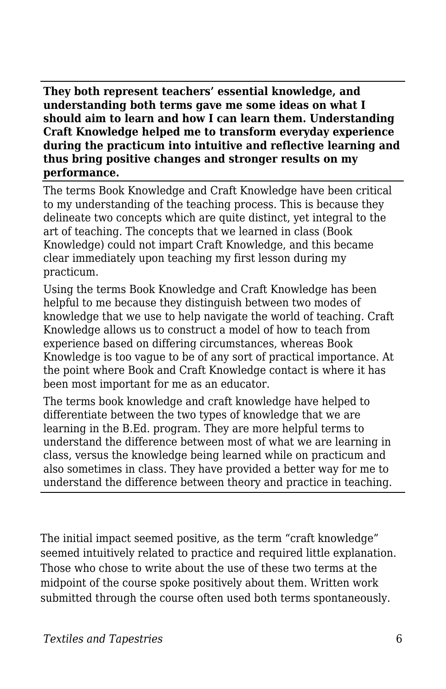**They both represent teachers' essential knowledge, and understanding both terms gave me some ideas on what I should aim to learn and how I can learn them. Understanding Craft Knowledge helped me to transform everyday experience during the practicum into intuitive and reflective learning and thus bring positive changes and stronger results on my performance.**

The terms Book Knowledge and Craft Knowledge have been critical to my understanding of the teaching process. This is because they delineate two concepts which are quite distinct, yet integral to the art of teaching. The concepts that we learned in class (Book Knowledge) could not impart Craft Knowledge, and this became clear immediately upon teaching my first lesson during my practicum.

Using the terms Book Knowledge and Craft Knowledge has been helpful to me because they distinguish between two modes of knowledge that we use to help navigate the world of teaching. Craft Knowledge allows us to construct a model of how to teach from experience based on differing circumstances, whereas Book Knowledge is too vague to be of any sort of practical importance. At the point where Book and Craft Knowledge contact is where it has been most important for me as an educator.

The terms book knowledge and craft knowledge have helped to differentiate between the two types of knowledge that we are learning in the B.Ed. program. They are more helpful terms to understand the difference between most of what we are learning in class, versus the knowledge being learned while on practicum and also sometimes in class. They have provided a better way for me to understand the difference between theory and practice in teaching.

The initial impact seemed positive, as the term "craft knowledge" seemed intuitively related to practice and required little explanation. Those who chose to write about the use of these two terms at the midpoint of the course spoke positively about them. Written work submitted through the course often used both terms spontaneously.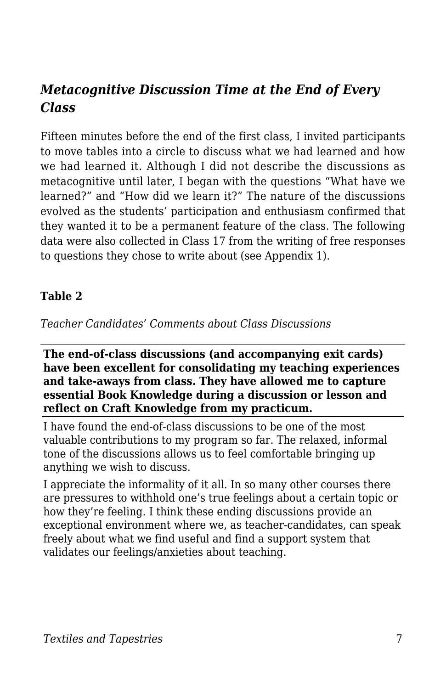### *Metacognitive Discussion Time at the End of Every Class*

Fifteen minutes before the end of the first class, I invited participants to move tables into a circle to discuss what we had learned and how we had learned it. Although I did not describe the discussions as metacognitive until later, I began with the questions "What have we learned?" and "How did we learn it?" The nature of the discussions evolved as the students' participation and enthusiasm confirmed that they wanted it to be a permanent feature of the class. The following data were also collected in Class 17 from the writing of free responses to questions they chose to write about (see Appendix 1).

#### **Table 2**

*Teacher Candidates' Comments about Class Discussions*

**The end-of-class discussions (and accompanying exit cards) have been excellent for consolidating my teaching experiences and take-aways from class. They have allowed me to capture essential Book Knowledge during a discussion or lesson and reflect on Craft Knowledge from my practicum.**

I have found the end-of-class discussions to be one of the most valuable contributions to my program so far. The relaxed, informal tone of the discussions allows us to feel comfortable bringing up anything we wish to discuss.

I appreciate the informality of it all. In so many other courses there are pressures to withhold one's true feelings about a certain topic or how they're feeling. I think these ending discussions provide an exceptional environment where we, as teacher-candidates, can speak freely about what we find useful and find a support system that validates our feelings/anxieties about teaching.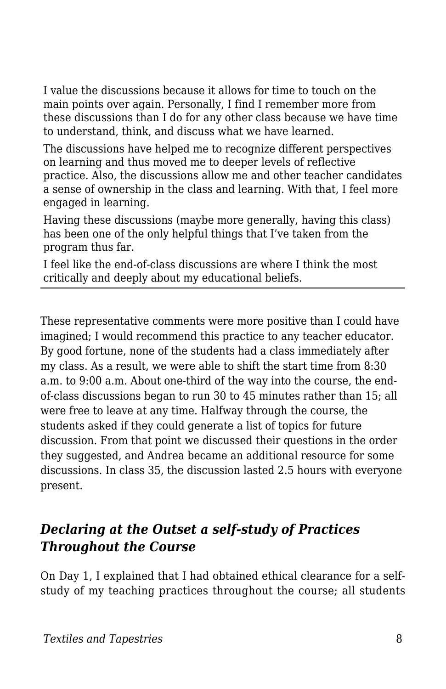I value the discussions because it allows for time to touch on the main points over again. Personally, I find I remember more from these discussions than I do for any other class because we have time to understand, think, and discuss what we have learned.

The discussions have helped me to recognize different perspectives on learning and thus moved me to deeper levels of reflective practice. Also, the discussions allow me and other teacher candidates a sense of ownership in the class and learning. With that, I feel more engaged in learning.

Having these discussions (maybe more generally, having this class) has been one of the only helpful things that I've taken from the program thus far.

I feel like the end-of-class discussions are where I think the most critically and deeply about my educational beliefs.

These representative comments were more positive than I could have imagined; I would recommend this practice to any teacher educator. By good fortune, none of the students had a class immediately after my class. As a result, we were able to shift the start time from 8:30 a.m. to 9:00 a.m. About one-third of the way into the course, the endof-class discussions began to run 30 to 45 minutes rather than 15; all were free to leave at any time. Halfway through the course, the students asked if they could generate a list of topics for future discussion. From that point we discussed their questions in the order they suggested, and Andrea became an additional resource for some discussions. In class 35, the discussion lasted 2.5 hours with everyone present.

### *Declaring at the Outset a self-study of Practices Throughout the Course*

On Day 1, I explained that I had obtained ethical clearance for a selfstudy of my teaching practices throughout the course; all students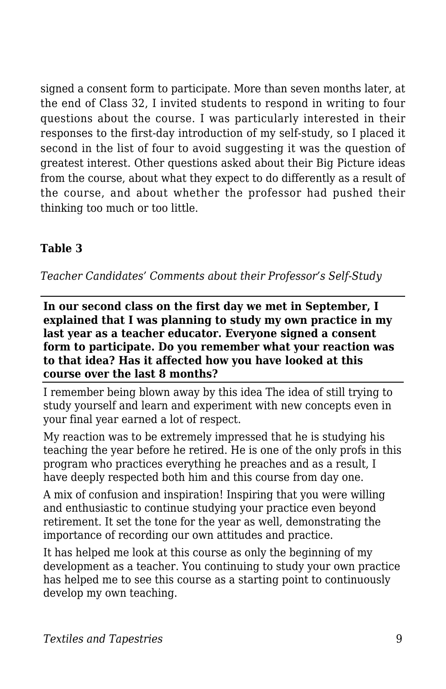signed a consent form to participate. More than seven months later, at the end of Class 32, I invited students to respond in writing to four questions about the course. I was particularly interested in their responses to the first-day introduction of my self-study, so I placed it second in the list of four to avoid suggesting it was the question of greatest interest. Other questions asked about their Big Picture ideas from the course, about what they expect to do differently as a result of the course, and about whether the professor had pushed their thinking too much or too little.

#### **Table 3**

*Teacher Candidates' Comments about their Professor's Self-Study*

**In our second class on the first day we met in September, I explained that I was planning to study my own practice in my last year as a teacher educator. Everyone signed a consent form to participate. Do you remember what your reaction was to that idea? Has it affected how you have looked at this course over the last 8 months?**

I remember being blown away by this idea The idea of still trying to study yourself and learn and experiment with new concepts even in your final year earned a lot of respect.

My reaction was to be extremely impressed that he is studying his teaching the year before he retired. He is one of the only profs in this program who practices everything he preaches and as a result, I have deeply respected both him and this course from day one.

A mix of confusion and inspiration! Inspiring that you were willing and enthusiastic to continue studying your practice even beyond retirement. It set the tone for the year as well, demonstrating the importance of recording our own attitudes and practice.

It has helped me look at this course as only the beginning of my development as a teacher. You continuing to study your own practice has helped me to see this course as a starting point to continuously develop my own teaching.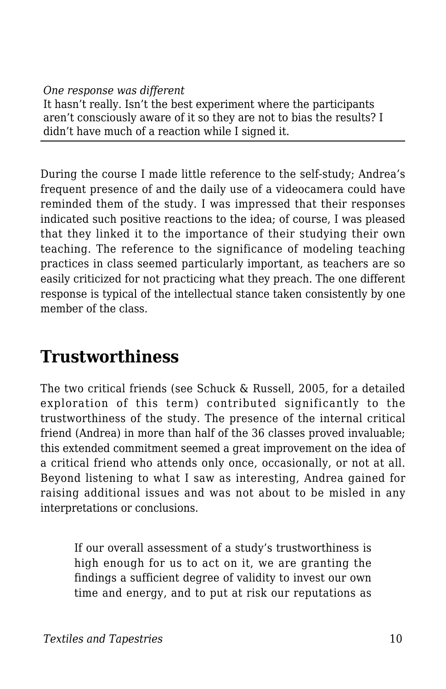#### *One response was different*

It hasn't really. Isn't the best experiment where the participants aren't consciously aware of it so they are not to bias the results? I didn't have much of a reaction while I signed it.

During the course I made little reference to the self-study; Andrea's frequent presence of and the daily use of a videocamera could have reminded them of the study. I was impressed that their responses indicated such positive reactions to the idea; of course, I was pleased that they linked it to the importance of their studying their own teaching. The reference to the significance of modeling teaching practices in class seemed particularly important, as teachers are so easily criticized for not practicing what they preach. The one different response is typical of the intellectual stance taken consistently by one member of the class.

# **Trustworthiness**

The two critical friends (see Schuck & Russell, 2005, for a detailed exploration of this term) contributed significantly to the trustworthiness of the study. The presence of the internal critical friend (Andrea) in more than half of the 36 classes proved invaluable; this extended commitment seemed a great improvement on the idea of a critical friend who attends only once, occasionally, or not at all. Beyond listening to what I saw as interesting, Andrea gained for raising additional issues and was not about to be misled in any interpretations or conclusions.

If our overall assessment of a study's trustworthiness is high enough for us to act on it, we are granting the findings a sufficient degree of validity to invest our own time and energy, and to put at risk our reputations as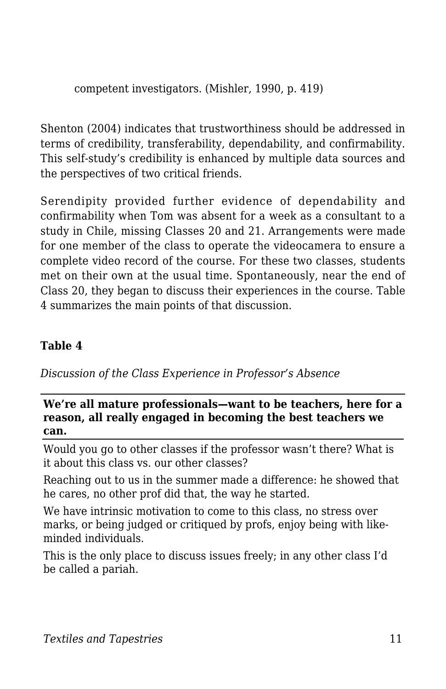competent investigators. (Mishler, 1990, p. 419)

Shenton (2004) indicates that trustworthiness should be addressed in terms of credibility, transferability, dependability, and confirmability. This self-study's credibility is enhanced by multiple data sources and the perspectives of two critical friends.

Serendipity provided further evidence of dependability and confirmability when Tom was absent for a week as a consultant to a study in Chile, missing Classes 20 and 21. Arrangements were made for one member of the class to operate the videocamera to ensure a complete video record of the course. For these two classes, students met on their own at the usual time. Spontaneously, near the end of Class 20, they began to discuss their experiences in the course. Table 4 summarizes the main points of that discussion.

#### **Table 4**

*Discussion of the Class Experience in Professor's Absence*

#### **We're all mature professionals—want to be teachers, here for a reason, all really engaged in becoming the best teachers we can.**

Would you go to other classes if the professor wasn't there? What is it about this class vs. our other classes?

Reaching out to us in the summer made a difference: he showed that he cares, no other prof did that, the way he started.

We have intrinsic motivation to come to this class, no stress over marks, or being judged or critiqued by profs, enjoy being with likeminded individuals.

This is the only place to discuss issues freely; in any other class I'd be called a pariah.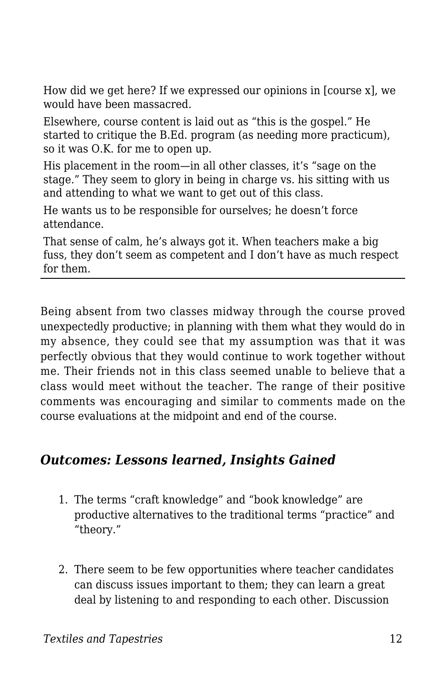How did we get here? If we expressed our opinions in [course x], we would have been massacred.

Elsewhere, course content is laid out as "this is the gospel." He started to critique the B.Ed. program (as needing more practicum), so it was O.K. for me to open up.

His placement in the room—in all other classes, it's "sage on the stage." They seem to glory in being in charge vs. his sitting with us and attending to what we want to get out of this class.

He wants us to be responsible for ourselves; he doesn't force attendance.

That sense of calm, he's always got it. When teachers make a big fuss, they don't seem as competent and I don't have as much respect for them.

Being absent from two classes midway through the course proved unexpectedly productive; in planning with them what they would do in my absence, they could see that my assumption was that it was perfectly obvious that they would continue to work together without me. Their friends not in this class seemed unable to believe that a class would meet without the teacher. The range of their positive comments was encouraging and similar to comments made on the course evaluations at the midpoint and end of the course.

### *Outcomes: Lessons learned, Insights Gained*

- 1. The terms "craft knowledge" and "book knowledge" are productive alternatives to the traditional terms "practice" and "theory."
- 2. There seem to be few opportunities where teacher candidates can discuss issues important to them; they can learn a great deal by listening to and responding to each other. Discussion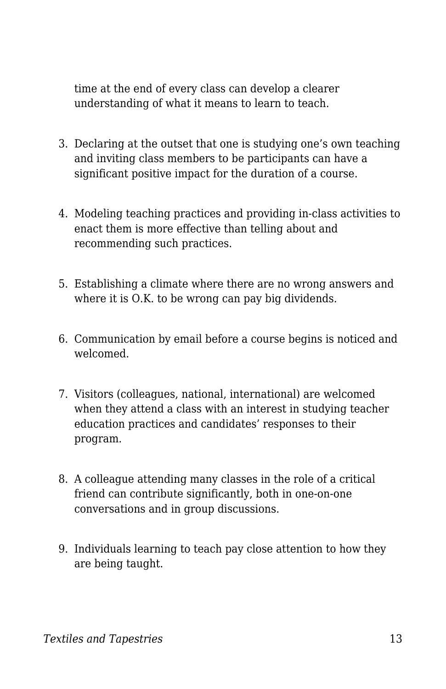time at the end of every class can develop a clearer understanding of what it means to learn to teach.

- 3. Declaring at the outset that one is studying one's own teaching and inviting class members to be participants can have a significant positive impact for the duration of a course.
- 4. Modeling teaching practices and providing in-class activities to enact them is more effective than telling about and recommending such practices.
- 5. Establishing a climate where there are no wrong answers and where it is O.K. to be wrong can pay big dividends.
- 6. Communication by email before a course begins is noticed and welcomed.
- 7. Visitors (colleagues, national, international) are welcomed when they attend a class with an interest in studying teacher education practices and candidates' responses to their program.
- 8. A colleague attending many classes in the role of a critical friend can contribute significantly, both in one-on-one conversations and in group discussions.
- 9. Individuals learning to teach pay close attention to how they are being taught.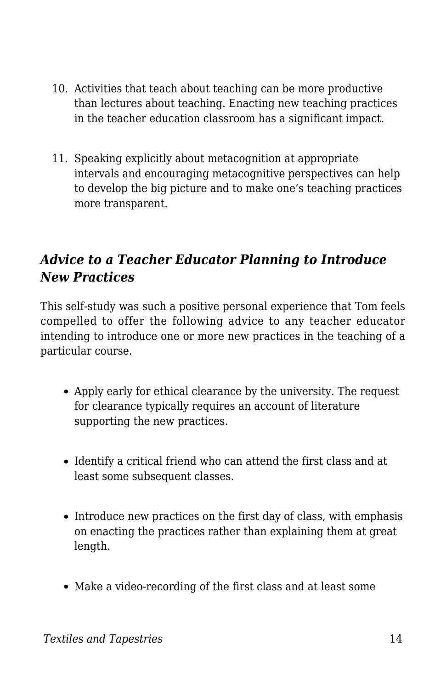- 10. Activities that teach about teaching can be more productive than lectures about teaching. Enacting new teaching practices in the teacher education classroom has a significant impact.
- 11. Speaking explicitly about metacognition at appropriate intervals and encouraging metacognitive perspectives can help to develop the big picture and to make one's teaching practices more transparent.

### *Advice to a Teacher Educator Planning to Introduce New Practices*

This self-study was such a positive personal experience that Tom feels compelled to offer the following advice to any teacher educator intending to introduce one or more new practices in the teaching of a particular course.

- Apply early for ethical clearance by the university. The request for clearance typically requires an account of literature supporting the new practices.
- Identify a critical friend who can attend the first class and at least some subsequent classes.
- Introduce new practices on the first day of class, with emphasis on enacting the practices rather than explaining them at great length.
- Make a video-recording of the first class and at least some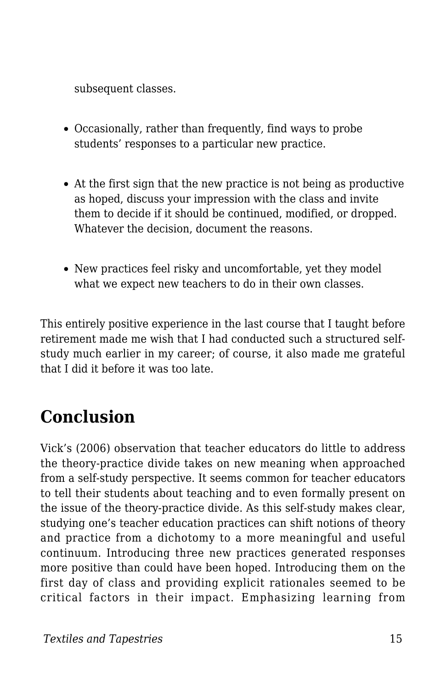subsequent classes.

- Occasionally, rather than frequently, find ways to probe students' responses to a particular new practice.
- At the first sign that the new practice is not being as productive as hoped, discuss your impression with the class and invite them to decide if it should be continued, modified, or dropped. Whatever the decision, document the reasons.
- New practices feel risky and uncomfortable, yet they model what we expect new teachers to do in their own classes.

This entirely positive experience in the last course that I taught before retirement made me wish that I had conducted such a structured selfstudy much earlier in my career; of course, it also made me grateful that I did it before it was too late.

# **Conclusion**

Vick's (2006) observation that teacher educators do little to address the theory-practice divide takes on new meaning when approached from a self-study perspective. It seems common for teacher educators to tell their students about teaching and to even formally present on the issue of the theory-practice divide. As this self-study makes clear, studying one's teacher education practices can shift notions of theory and practice from a dichotomy to a more meaningful and useful continuum. Introducing three new practices generated responses more positive than could have been hoped. Introducing them on the first day of class and providing explicit rationales seemed to be critical factors in their impact. Emphasizing learning from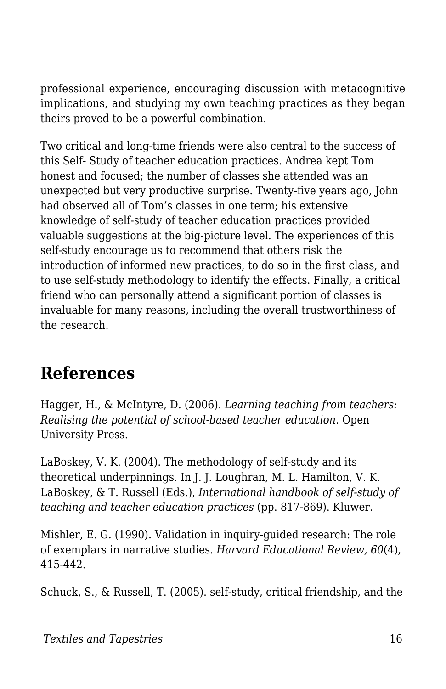professional experience, encouraging discussion with metacognitive implications, and studying my own teaching practices as they began theirs proved to be a powerful combination.

Two critical and long-time friends were also central to the success of this Self- Study of teacher education practices. Andrea kept Tom honest and focused; the number of classes she attended was an unexpected but very productive surprise. Twenty-five years ago, John had observed all of Tom's classes in one term; his extensive knowledge of self-study of teacher education practices provided valuable suggestions at the big-picture level. The experiences of this self-study encourage us to recommend that others risk the introduction of informed new practices, to do so in the first class, and to use self-study methodology to identify the effects. Finally, a critical friend who can personally attend a significant portion of classes is invaluable for many reasons, including the overall trustworthiness of the research.

# **References**

Hagger, H., & McIntyre, D. (2006). *Learning teaching from teachers: Realising the potential of school-based teacher education.* Open University Press.

LaBoskey, V. K. (2004). The methodology of self-study and its theoretical underpinnings. In J. J. Loughran, M. L. Hamilton, V. K. LaBoskey, & T. Russell (Eds.), *International handbook of self-study of teaching and teacher education practices* (pp. 817-869). Kluwer.

Mishler, E. G. (1990). Validation in inquiry-guided research: The role of exemplars in narrative studies. *Harvard Educational Review, 60*(4), 415-442.

Schuck, S., & Russell, T. (2005). self-study, critical friendship, and the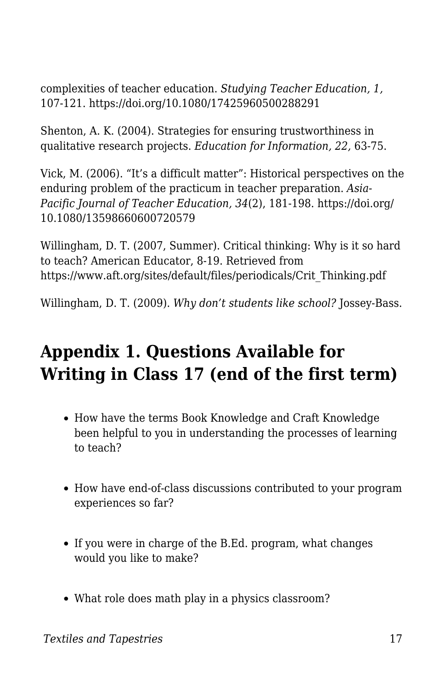complexities of teacher education. *Studying Teacher Education, 1,* 107-121. https://doi.org/10.1080/17425960500288291

Shenton, A. K. (2004). Strategies for ensuring trustworthiness in qualitative research projects. *Education for Information, 22,* 63-75.

Vick, M. (2006). "It's a difficult matter": Historical perspectives on the enduring problem of the practicum in teacher preparation. *Asia-Pacific Journal of Teacher Education, 34*(2), 181-198. https://doi.org/ 10.1080/13598660600720579

Willingham, D. T. (2007, Summer). Critical thinking: Why is it so hard to teach? American Educator, 8-19. Retrieved from https://www.aft.org/sites/default/files/periodicals/Crit\_Thinking.pdf

Willingham, D. T. (2009). *Why don't students like school?* Jossey-Bass.

# **Appendix 1. Questions Available for Writing in Class 17 (end of the first term)**

- How have the terms Book Knowledge and Craft Knowledge been helpful to you in understanding the processes of learning to teach?
- How have end-of-class discussions contributed to your program experiences so far?
- If you were in charge of the B.Ed. program, what changes would you like to make?
- What role does math play in a physics classroom?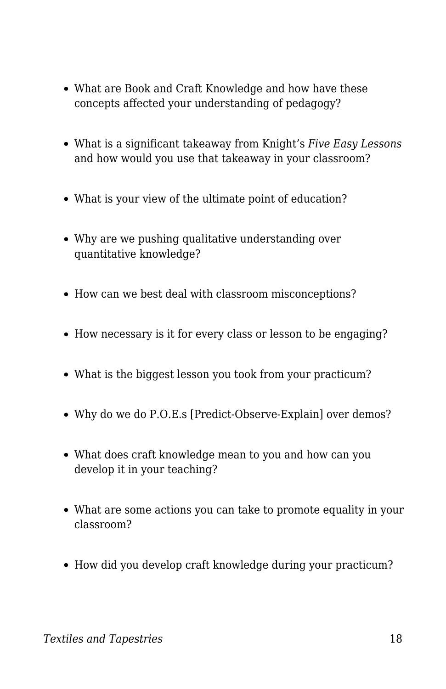- What are Book and Craft Knowledge and how have these concepts affected your understanding of pedagogy?
- What is a significant takeaway from Knight's *Five Easy Lessons* and how would you use that takeaway in your classroom?
- What is your view of the ultimate point of education?
- Why are we pushing qualitative understanding over quantitative knowledge?
- How can we best deal with classroom misconceptions?
- How necessary is it for every class or lesson to be engaging?
- What is the biggest lesson you took from your practicum?
- Why do we do P.O.E.s [Predict-Observe-Explain] over demos?
- What does craft knowledge mean to you and how can you develop it in your teaching?
- What are some actions you can take to promote equality in your classroom?
- How did you develop craft knowledge during your practicum?